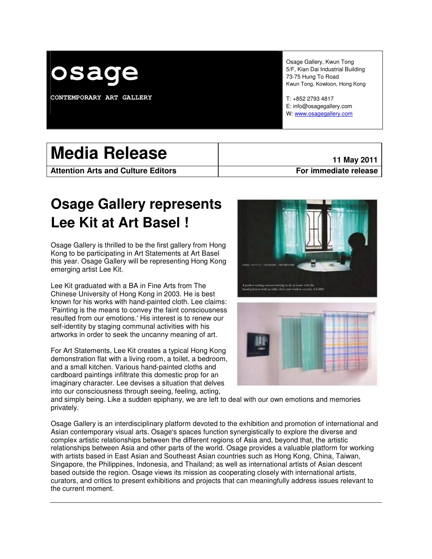

**CONTEMPORARY ART GALLERY** 

Osage Gallery, Kwun Tong 5/F, Kian Dai Industrial Building 73-75 Hung To Road Kwun Tong, Kowloon, Hong Kong

T: +852 2793 4817 E: info@osagegallery.com W: www.osagegallery.com

| <b>Media Release</b>                      | 11 May 2011           |
|-------------------------------------------|-----------------------|
| <b>Attention Arts and Culture Editors</b> | For immediate release |

# **Osage Gallery represents Lee Kit at Art Basel !**

Osage Gallery is thrilled to be the first gallery from Hong Kong to be participating in Art Statements at Art Basel this year. Osage Gallery will be representing Hong Kong emerging artist Lee Kit.

Lee Kit graduated with a BA in Fine Arts from The Chinese University of Hong Kong in 2003. He is best known for his works with hand-painted cloth. Lee claims: 'Painting is the means to convey the faint consciousness resulted from our emotions.' His interest is to renew our self-identity by staging communal activities with his artworks in order to seek the uncanny meaning of art.

For Art Statements, Lee Kit creates a typical Hong Kong demonstration flat with a living room, a toilet, a bedroom, and a small kitchen. Various hand-painted cloths and cardboard paintings infiltrate this domestic prop for an imaginary character. Lee devises a situation that delves into our consciousness through seeing, feeling, acting,





and simply being. Like a sudden epiphany, we are left to deal with our own emotions and memories privately.

Osage Gallery is an interdisciplinary platform devoted to the exhibition and promotion of international and Asian contemporary visual arts. Osage's spaces function synergistically to explore the diverse and complex artistic relationships between the different regions of Asia and, beyond that, the artistic relationships between Asia and other parts of the world. Osage provides a valuable platform for working with artists based in East Asian and Southeast Asian countries such as Hong Kong, China, Taiwan, Singapore, the Philippines, Indonesia, and Thailand; as well as international artists of Asian descent based outside the region. Osage views its mission as cooperating closely with international artists, curators, and critics to present exhibitions and projects that can meaningfully address issues relevant to the current moment.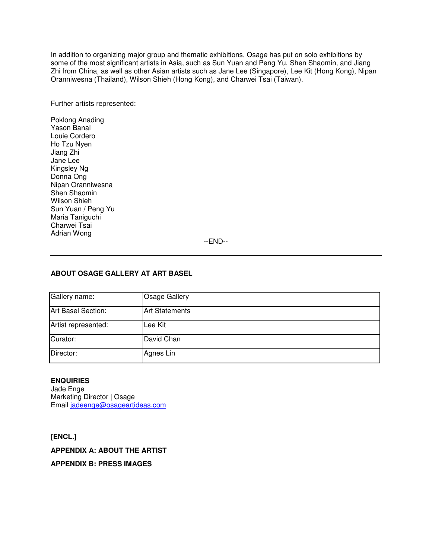In addition to organizing major group and thematic exhibitions, Osage has put on solo exhibitions by some of the most significant artists in Asia, such as Sun Yuan and Peng Yu, Shen Shaomin, and Jiang Zhi from China, as well as other Asian artists such as Jane Lee (Singapore), Lee Kit (Hong Kong), Nipan Oranniwesna (Thailand), Wilson Shieh (Hong Kong), and Charwei Tsai (Taiwan).

Further artists represented:

Poklong Anading Yason Banal Louie Cordero Ho Tzu Nyen Jiang Zhi Jane Lee Kingsley Ng Donna Ong Nipan Oranniwesna Shen Shaomin Wilson Shieh Sun Yuan / Peng Yu Maria Taniguchi Charwei Tsai Adrian Wong

--END--

## **ABOUT OSAGE GALLERY AT ART BASEL**

| Gallery name:       | <b>Osage Gallery</b>  |
|---------------------|-----------------------|
| Art Basel Section:  | <b>Art Statements</b> |
| Artist represented: | Lee Kit               |
| Curator:            | David Chan            |
| Director:           | Agnes Lin             |

## **ENQUIRIES**

Jade Enge Marketing Director | Osage Email jadeenge@osageartideas.com

**[ENCL.] APPENDIX A: ABOUT THE ARTIST APPENDIX B: PRESS IMAGES**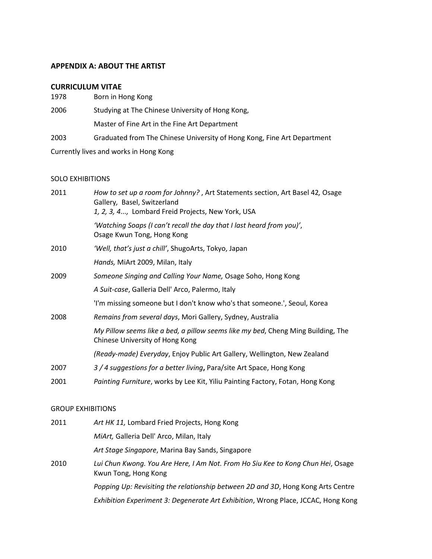# APPENDIX A: ABOUT THE ARTIST

## CURRICULUM VITAE

| 1978 | Born in Hong Kong                                                       |
|------|-------------------------------------------------------------------------|
| 2006 | Studying at The Chinese University of Hong Kong,                        |
|      | Master of Fine Art in the Fine Art Department                           |
| 2003 | Graduated from The Chinese University of Hong Kong, Fine Art Department |
|      | Currently lives and works in Hong Kong                                  |

## SOLO EXHIBITIONS

| 2011 | How to set up a room for Johnny?, Art Statements section, Art Basel 42, Osage<br>Gallery, Basel, Switzerland<br>1, 2, 3, 4, Lombard Freid Projects, New York, USA |
|------|-------------------------------------------------------------------------------------------------------------------------------------------------------------------|
|      | 'Watching Soaps (I can't recall the day that I last heard from you)',<br>Osage Kwun Tong, Hong Kong                                                               |
| 2010 | 'Well, that's just a chill', ShugoArts, Tokyo, Japan                                                                                                              |
|      | Hands, MiArt 2009, Milan, Italy                                                                                                                                   |
| 2009 | Someone Singing and Calling Your Name, Osage Soho, Hong Kong                                                                                                      |
|      | A Suit-case, Galleria Dell' Arco, Palermo, Italy                                                                                                                  |
|      | 'I'm missing someone but I don't know who's that someone.', Seoul, Korea                                                                                          |
| 2008 | Remains from several days, Mori Gallery, Sydney, Australia                                                                                                        |
|      | My Pillow seems like a bed, a pillow seems like my bed, Cheng Ming Building, The<br>Chinese University of Hong Kong                                               |
|      | (Ready-made) Everyday, Enjoy Public Art Gallery, Wellington, New Zealand                                                                                          |
| 2007 | 3 / 4 suggestions for a better living, Para/site Art Space, Hong Kong                                                                                             |
| 2001 | Painting Furniture, works by Lee Kit, Yiliu Painting Factory, Fotan, Hong Kong                                                                                    |

## GROUP EXHIBITIONS

| Art Stage Singapore, Marina Bay Sands, Singapore                                  |
|-----------------------------------------------------------------------------------|
| Lui Chun Kwong. You Are Here, I Am Not. From Ho Siu Kee to Kong Chun Hei, Osage   |
| Popping Up: Revisiting the relationship between 2D and 3D, Hong Kong Arts Centre  |
| Exhibition Experiment 3: Degenerate Art Exhibition, Wrong Place, JCCAC, Hong Kong |
|                                                                                   |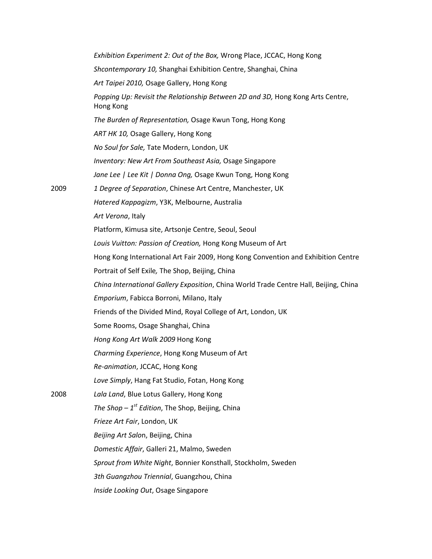Exhibition Experiment 2: Out of the Box, Wrong Place, JCCAC, Hong Kong Shcontemporary 10, Shanghai Exhibition Centre, Shanghai, China Art Taipei 2010, Osage Gallery, Hong Kong Popping Up: Revisit the Relationship Between 2D and 3D, Hong Kong Arts Centre, Hong Kong The Burden of Representation, Osage Kwun Tong, Hong Kong ART HK 10, Osage Gallery, Hong Kong No Soul for Sale, Tate Modern, London, UK Inventory: New Art From Southeast Asia, Osage Singapore Jane Lee | Lee Kit | Donna Ong, Osage Kwun Tong, Hong Kong 2009 1 Degree of Separation, Chinese Art Centre, Manchester, UK Hatered Kappagizm, Y3K, Melbourne, Australia Art Verona, Italy Platform, Kimusa site, Artsonje Centre, Seoul, Seoul Louis Vuitton: Passion of Creation, Hong Kong Museum of Art Hong Kong International Art Fair 2009, Hong Kong Convention and Exhibition Centre Portrait of Self Exile, The Shop, Beijing, China China International Gallery Exposition, China World Trade Centre Hall, Beijing, China Emporium, Fabicca Borroni, Milano, Italy Friends of the Divided Mind, Royal College of Art, London, UK Some Rooms, Osage Shanghai, China Hong Kong Art Walk 2009 Hong Kong Charming Experience, Hong Kong Museum of Art Re-animation, JCCAC, Hong Kong Love Simply, Hang Fat Studio, Fotan, Hong Kong 2008 Lala Land, Blue Lotus Gallery, Hong Kong The Shop –  $1^{st}$  Edition, The Shop, Beijing, China Frieze Art Fair, London, UK Beijing Art Salon, Beijing, China Domestic Affair, Galleri 21, Malmo, Sweden Sprout from White Night, Bonnier Konsthall, Stockholm, Sweden 3th Guangzhou Triennial, Guangzhou, China Inside Looking Out, Osage Singapore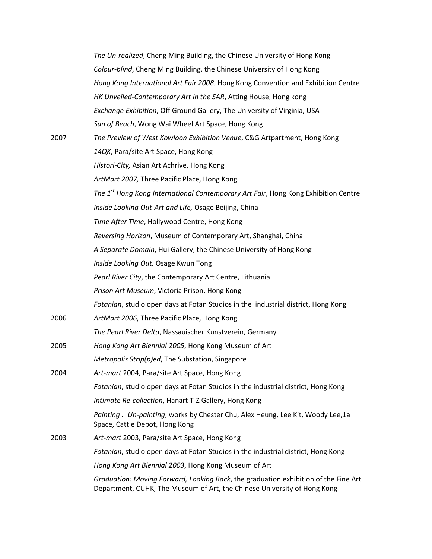|      | The Un-realized, Cheng Ming Building, the Chinese University of Hong Kong                                                                                       |
|------|-----------------------------------------------------------------------------------------------------------------------------------------------------------------|
|      | Colour-blind, Cheng Ming Building, the Chinese University of Hong Kong                                                                                          |
|      | Hong Kong International Art Fair 2008, Hong Kong Convention and Exhibition Centre                                                                               |
|      | HK Unveiled-Contemporary Art in the SAR, Atting House, Hong kong                                                                                                |
|      | Exchange Exhibition, Off Ground Gallery, The University of Virginia, USA                                                                                        |
|      | Sun of Beach, Wong Wai Wheel Art Space, Hong Kong                                                                                                               |
| 2007 | The Preview of West Kowloon Exhibition Venue, C&G Artpartment, Hong Kong                                                                                        |
|      | 14QK, Para/site Art Space, Hong Kong                                                                                                                            |
|      | Histori-City, Asian Art Achrive, Hong Kong                                                                                                                      |
|      | ArtMart 2007, Three Pacific Place, Hong Kong                                                                                                                    |
|      | The 1 <sup>st</sup> Hong Kong International Contemporary Art Fair, Hong Kong Exhibition Centre                                                                  |
|      | Inside Looking Out-Art and Life, Osage Beijing, China                                                                                                           |
|      | Time After Time, Hollywood Centre, Hong Kong                                                                                                                    |
|      | Reversing Horizon, Museum of Contemporary Art, Shanghai, China                                                                                                  |
|      | A Separate Domain, Hui Gallery, the Chinese University of Hong Kong                                                                                             |
|      | Inside Looking Out, Osage Kwun Tong                                                                                                                             |
|      | Pearl River City, the Contemporary Art Centre, Lithuania                                                                                                        |
|      | Prison Art Museum, Victoria Prison, Hong Kong                                                                                                                   |
|      | Fotanian, studio open days at Fotan Studios in the industrial district, Hong Kong                                                                               |
| 2006 | ArtMart 2006, Three Pacific Place, Hong Kong                                                                                                                    |
|      | The Pearl River Delta, Nassauischer Kunstverein, Germany                                                                                                        |
| 2005 | Hong Kong Art Biennial 2005, Hong Kong Museum of Art                                                                                                            |
|      | Metropolis Strip(p)ed, The Substation, Singapore                                                                                                                |
| 2004 | Art-mart 2004, Para/site Art Space, Hong Kong                                                                                                                   |
|      | Fotanian, studio open days at Fotan Studios in the industrial district, Hong Kong                                                                               |
|      | Intimate Re-collection, Hanart T-Z Gallery, Hong Kong                                                                                                           |
|      | Painting, Un-painting, works by Chester Chu, Alex Heung, Lee Kit, Woody Lee,1a<br>Space, Cattle Depot, Hong Kong                                                |
| 2003 | Art-mart 2003, Para/site Art Space, Hong Kong                                                                                                                   |
|      | Fotanian, studio open days at Fotan Studios in the industrial district, Hong Kong                                                                               |
|      | Hong Kong Art Biennial 2003, Hong Kong Museum of Art                                                                                                            |
|      | Graduation: Moving Forward, Looking Back, the graduation exhibition of the Fine Art<br>Department, CUHK, The Museum of Art, the Chinese University of Hong Kong |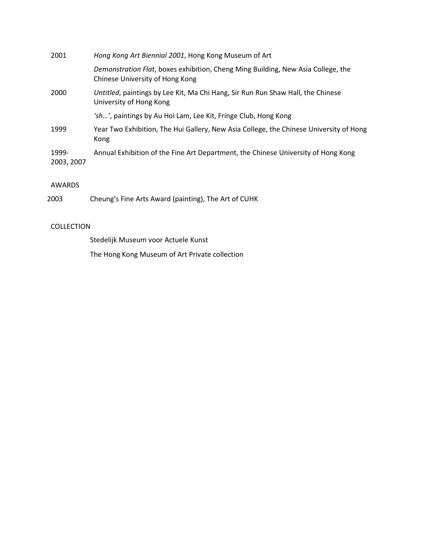| 2001                | Hong Kong Art Biennial 2001, Hong Kong Museum of Art                                                                |
|---------------------|---------------------------------------------------------------------------------------------------------------------|
|                     | Demonstration Flat, boxes exhibition, Cheng Ming Building, New Asia College, the<br>Chinese University of Hong Kong |
| 2000                | Untitled, paintings by Lee Kit, Ma Chi Hang, Sir Run Run Shaw Hall, the Chinese<br>University of Hong Kong          |
|                     | 'sh', paintings by Au Hoi Lam, Lee Kit, Fringe Club, Hong Kong                                                      |
| 1999                | Year Two Exhibition, The Hui Gallery, New Asia College, the Chinese University of Hong<br>Kong                      |
| 1999-<br>2003, 2007 | Annual Exhibition of the Fine Art Department, the Chinese University of Hong Kong                                   |

# AWARDS

2003 Cheung's Fine Arts Award (painting), The Art of CUHK

# COLLECTION

Stedelijk Museum voor Actuele Kunst

The Hong Kong Museum of Art Private collection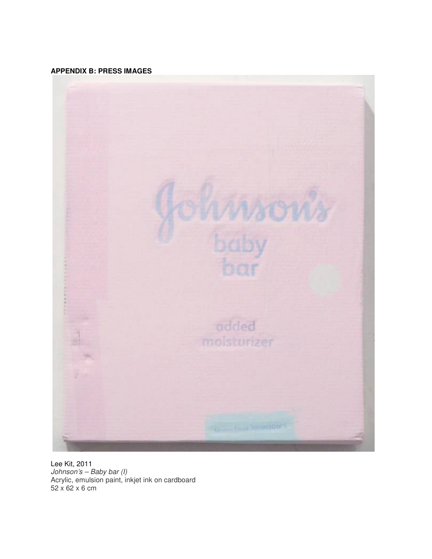## **APPENDIX B: PRESS IMAGES**



Lee Kit, 2011 Johnson's – Baby bar (I) Acrylic, emulsion paint, inkjet ink on cardboard 52 x 62 x 6 cm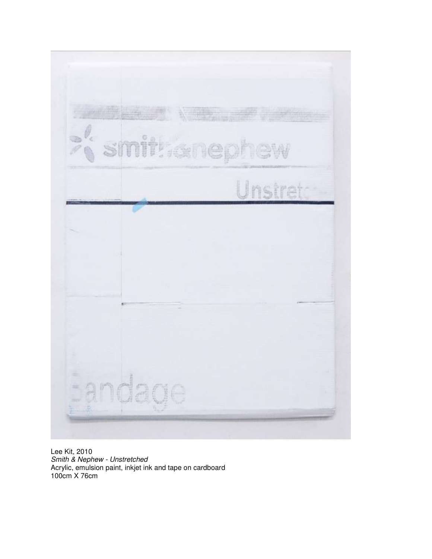

Lee Kit, 2010 Smith & Nephew - Unstretched Acrylic, emulsion paint, inkjet ink and tape on cardboard 100cm X 76cm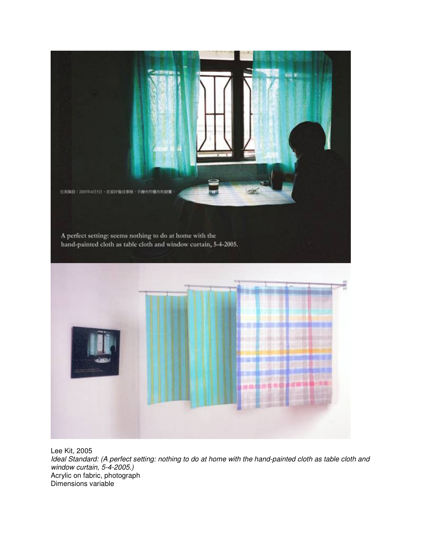

Lee Kit, 2005 Ideal Standard: (A perfect setting: nothing to do at home with the hand-painted cloth as table cloth and window curtain, 5-4-2005.) Acrylic on fabric, photograph Dimensions variable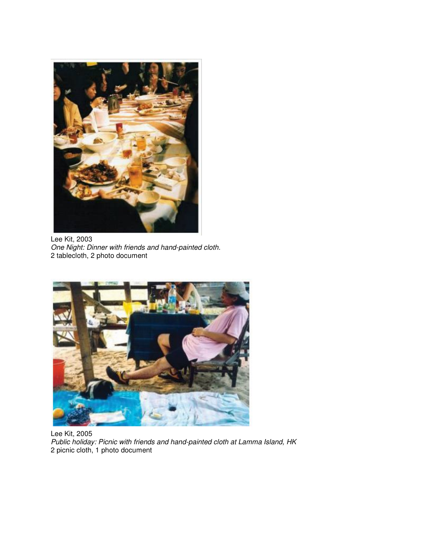

Lee Kit, 2003 One Night: Dinner with friends and hand-painted cloth. 2 tablecloth, 2 photo document



Lee Kit, 2005 Public holiday: Picnic with friends and hand-painted cloth at Lamma Island, HK 2 picnic cloth, 1 photo document